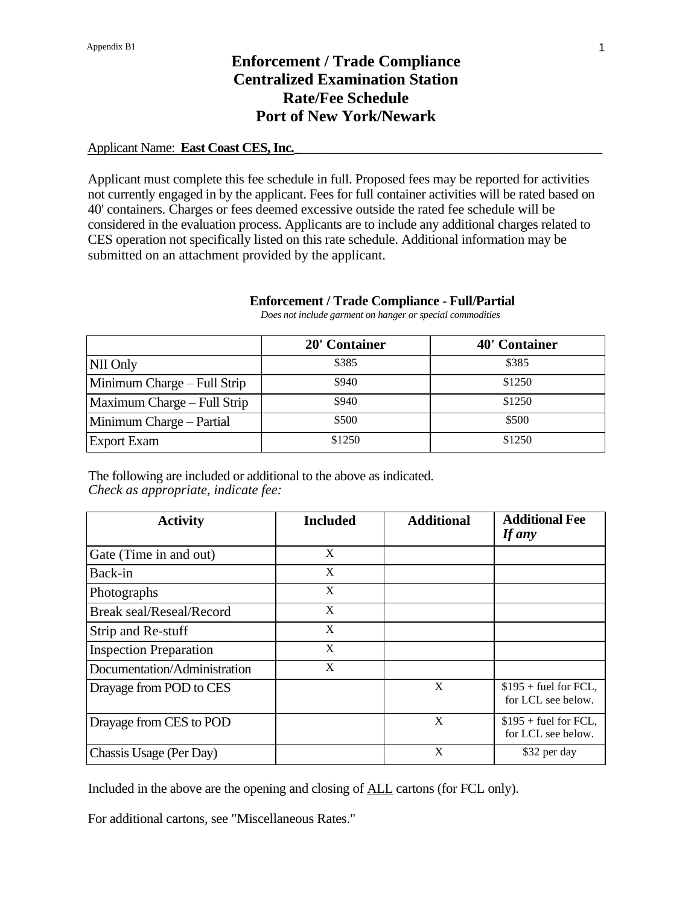#### Applicant Name: **East Coast CES, Inc.**

Applicant must complete this fee schedule in full. Proposed fees may be reported for activities not currently engaged in by the applicant. Fees for full container activities will be rated based on 40' containers. Charges or fees deemed excessive outside the rated fee schedule will be considered in the evaluation process. Applicants are to include any additional charges related to CES operation not specifically listed on this rate schedule. Additional information may be submitted on an attachment provided by the applicant.

#### **Enforcement / Trade Compliance - Full/Partial**

|                             | 20' Container | 40' Container |
|-----------------------------|---------------|---------------|
| NII Only                    | \$385         | \$385         |
| Minimum Charge – Full Strip | \$940         | \$1250        |
| Maximum Charge – Full Strip | \$940         | \$1250        |
| Minimum Charge – Partial    | \$500         | \$500         |
| <b>Export Exam</b>          | \$1250        | \$1250        |

 *Does not include garment on hanger or special commodities*

The following are included or additional to the above as indicated. *Check as appropriate, indicate fee:*

| <b>Activity</b>                 | <b>Included</b> | <b>Additional</b> | <b>Additional Fee</b><br><b>If any</b>       |
|---------------------------------|-----------------|-------------------|----------------------------------------------|
| Gate (Time in and out)          | X               |                   |                                              |
| Back-in                         | X               |                   |                                              |
| Photographs                     | X               |                   |                                              |
| <b>Break seal/Reseal/Record</b> | X               |                   |                                              |
| Strip and Re-stuff              | X               |                   |                                              |
| <b>Inspection Preparation</b>   | X               |                   |                                              |
| Documentation/Administration    | X               |                   |                                              |
| Drayage from POD to CES         |                 | $\mathbf{X}$      | $$195 + fuel for FCL,$<br>for LCL see below. |
| Drayage from CES to POD         |                 | X                 | $$195 + fuel for FCL,$<br>for LCL see below. |
| Chassis Usage (Per Day)         |                 | X                 | \$32 per day                                 |

Included in the above are the opening and closing of ALL cartons (for FCL only).

For additional cartons, see "Miscellaneous Rates."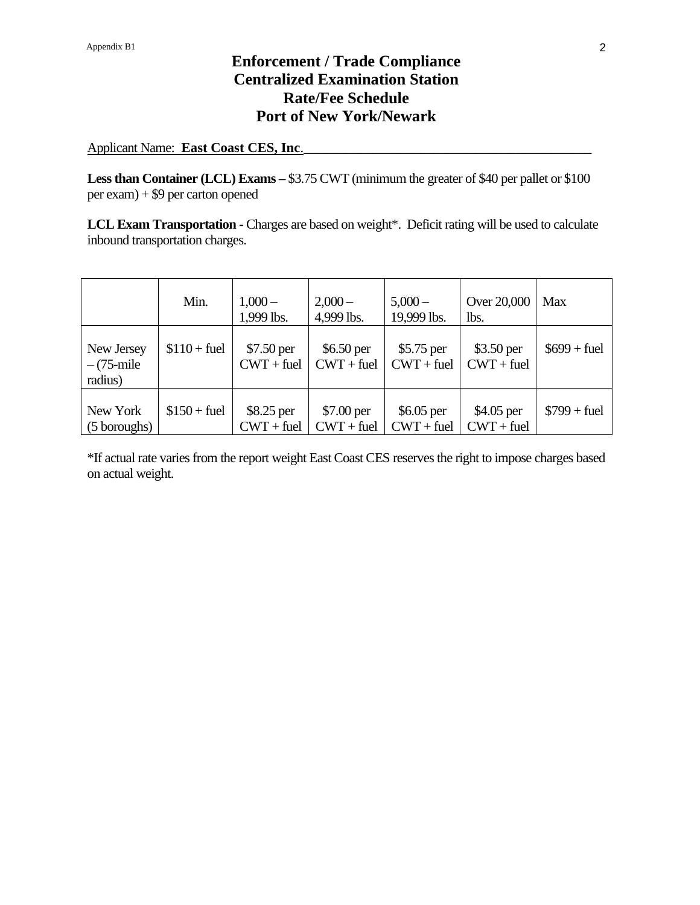Applicant Name: **East Coast CES, Inc**.\_\_\_\_\_\_\_\_\_\_\_\_\_\_\_\_\_\_\_\_\_\_\_\_\_\_\_\_\_\_\_\_\_\_\_\_\_\_\_\_\_\_

Less than Container (LCL) Exams – \$3.75 CWT (minimum the greater of \$40 per pallet or \$100 per exam) + \$9 per carton opened

**LCL Exam Transportation -** Charges are based on weight\*. Deficit rating will be used to calculate inbound transportation charges.

|                                       | Min.          | $1,000-$<br>1,999 lbs.      | $2,000-$<br>4,999 lbs.      | $5,000 -$<br>19,999 lbs.    | Over 20,000<br>lbs.        | Max           |
|---------------------------------------|---------------|-----------------------------|-----------------------------|-----------------------------|----------------------------|---------------|
| New Jersey<br>$-(75$ -mile<br>radius) | $$110 + fuel$ | \$7.50 per<br>$CWT + fuel$  | $$6.50$ per<br>$CWT + fuel$ | $$5.75$ per<br>$CWT + fuel$ | \$3.50 per<br>$CWT + fuel$ | $$699 + fuel$ |
| New York<br>(5 boroughs)              | $$150 + fuel$ | $$8.25$ per<br>$CWT + fuel$ | \$7.00 per<br>$CWT + fuel$  | $$6.05$ per<br>$CWT + fuel$ | \$4.05 per<br>$CWT + fuel$ | $$799 + fuel$ |

\*If actual rate varies from the report weight East Coast CES reserves the right to impose charges based on actual weight.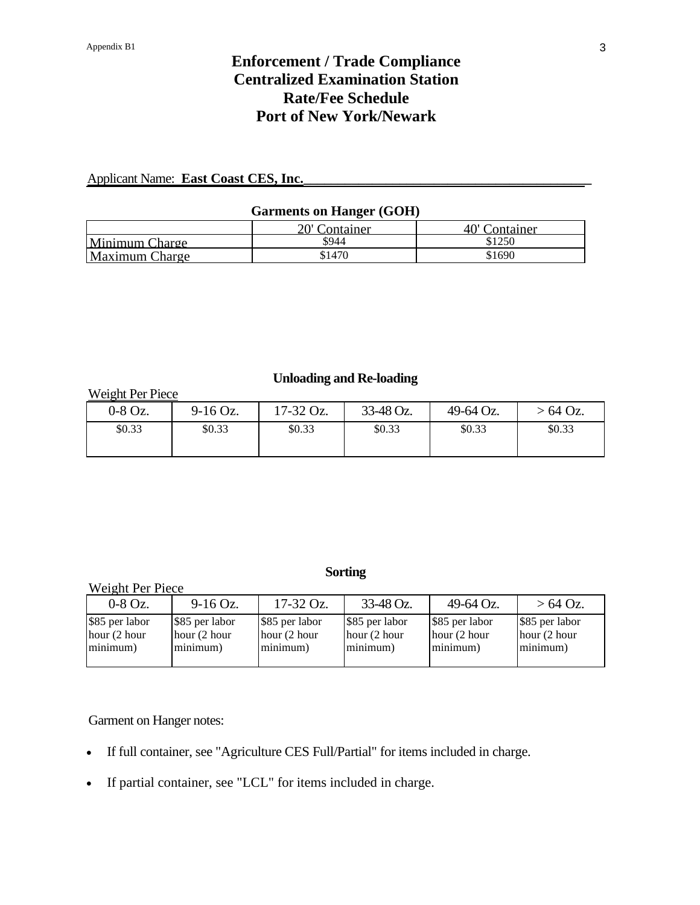### Applicant Name: **East Coast CES, Inc.**

#### **Garments on Hanger (GOH)**

|                       | 20' Container | 40' Container |
|-----------------------|---------------|---------------|
| Minimum Charge        | \$944         | \$1250        |
| <b>Maximum Charge</b> | \$1470        | \$1690        |

#### **Unloading and Re-loading**

Weight Per Piece

| $0-8$ Oz. | $9-16$ Oz. | $17-32$ Oz. | 33-48 Oz. | 49-64 Oz. | $-64$ Oz. |
|-----------|------------|-------------|-----------|-----------|-----------|
| \$0.33    | \$0.33     | \$0.33      | \$0.33    | \$0.33    | \$0.33    |

### **Sorting**

|                                              | Weight Per Piece                           |                                               |                                            |                                              |                                              |  |  |
|----------------------------------------------|--------------------------------------------|-----------------------------------------------|--------------------------------------------|----------------------------------------------|----------------------------------------------|--|--|
| $0-8$ Oz.                                    | $9-16$ Oz.                                 | $17-32$ Oz.                                   | 33-48 Oz.                                  | 49-64 Oz.                                    | $>64$ Oz.                                    |  |  |
| \$85 per labor<br>hour $(2$ hour<br>minimum) | \$85 per labor<br>hour (2 hour<br>minimum) | \$85 per labor<br>hour $(2 hour)$<br>minimum) | \$85 per labor<br>hour (2 hour<br>minimum) | \$85 per labor<br>hour $(2$ hour<br>minimum) | \$85 per labor<br>hour $(2$ hour<br>minimum) |  |  |

Garment on Hanger notes:

- If full container, see "Agriculture CES Full/Partial" for items included in charge.
- If partial container, see "LCL" for items included in charge.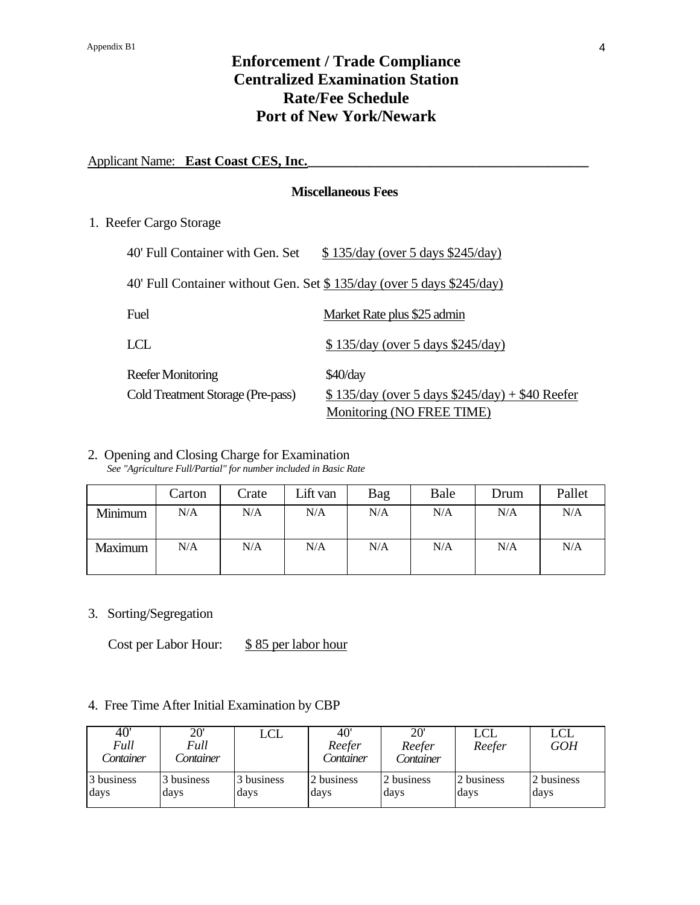#### Applicant Name: **East Coast CES, Inc.**

#### **Miscellaneous Fees**

1. Reefer Cargo Storage

| 40' Full Container with Gen. Set                                      | $$135/day$ (over 5 days $$245/day$ )               |
|-----------------------------------------------------------------------|----------------------------------------------------|
| 40' Full Container without Gen. Set \$135/day (over 5 days \$245/day) |                                                    |
| Fuel                                                                  | Market Rate plus \$25 admin                        |
| LCL                                                                   | $$135/day$ (over 5 days $$245/day$ )               |
| <b>Reefer Monitoring</b>                                              | $$40$ /day                                         |
| Cold Treatment Storage (Pre-pass)                                     | $$135/day$ (over 5 days $$245/day$ ) + \$40 Reefer |
|                                                                       | Monitoring (NO FREE TIME)                          |

# 2. Opening and Closing Charge for Examination

*See "Agriculture Full/Partial" for number included in Basic Rate*

|         | Carton | Crate | Lift van | Bag | Bale | Drum | Pallet |
|---------|--------|-------|----------|-----|------|------|--------|
| Minimum | N/A    | N/A   | N/A      | N/A | N/A  | N/A  | N/A    |
| Maximum | N/A    | N/A   | N/A      | N/A | N/A  | N/A  | N/A    |

3. Sorting/Segregation

Cost per Labor Hour: \$85 per labor hour

### 4. Free Time After Initial Examination by CBP

| 40'<br>Full<br>Container | $20^{\circ}$<br>Full<br>Container | LCL        | 40'<br>Reefer<br>Container | 20'<br>Reefer<br>Container | LCL<br>Reefer | <b>LCL</b><br><b>GOH</b> |
|--------------------------|-----------------------------------|------------|----------------------------|----------------------------|---------------|--------------------------|
| 3 business               | 3 business                        | 3 business | 2 business                 | 2 business                 | 2 business    | 2 business               |
| days                     | days                              | days       | days                       | days                       | days          | days                     |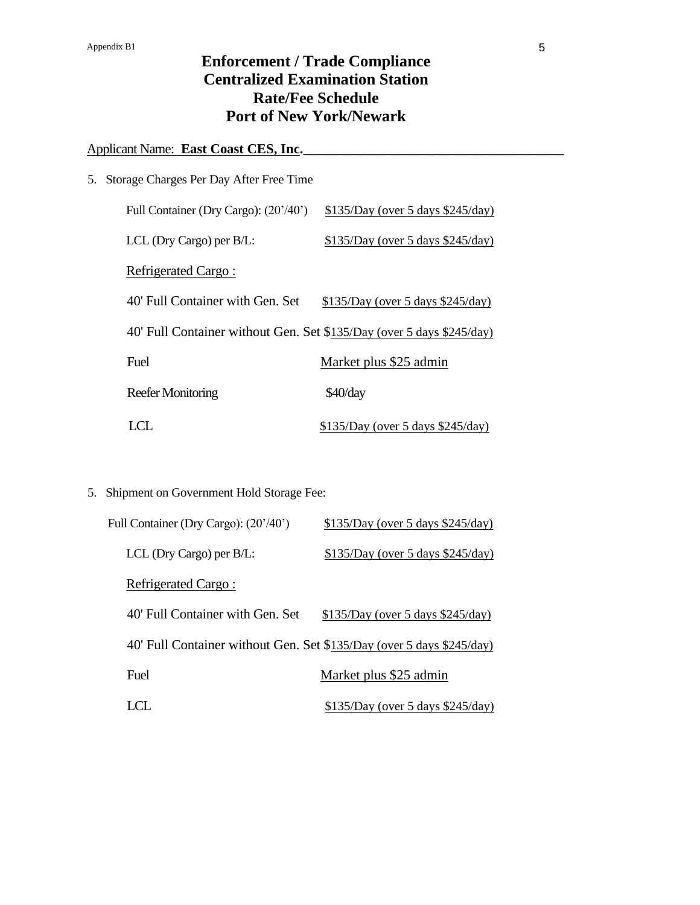### Applicant Name: **East Coast CES, Inc.**

| 5. Storage Charges Per Day After Free Time                            |                                      |
|-----------------------------------------------------------------------|--------------------------------------|
| Full Container (Dry Cargo): (20'/40')                                 | $$135/Day$ (over 5 days $$245/day$ ) |
| LCL (Dry Cargo) per B/L:                                              | $$135/Day$ (over 5 days \$245/day)   |
| Refrigerated Cargo:                                                   |                                      |
| 40' Full Container with Gen. Set                                      | $$135/Day$ (over 5 days $$245/day$ ) |
| 40' Full Container without Gen. Set \$135/Day (over 5 days \$245/day) |                                      |
| Fuel                                                                  | Market plus \$25 admin               |
| <b>Reefer Monitoring</b>                                              | \$40/day                             |
| $\blacksquare$                                                        | $$135/Day$ (over 5 days $$245/day$ ) |

5. Shipment on Government Hold Storage Fee:

| Full Container (Dry Cargo): (20'/40') | $$135/Day$ (over 5 days $$245/day$ )                                  |
|---------------------------------------|-----------------------------------------------------------------------|
| LCL (Dry Cargo) per $B/L$ :           | $$135/Day$ (over 5 days $$245/day$ )                                  |
| Refrigerated Cargo:                   |                                                                       |
| 40' Full Container with Gen. Set      | $$135/Day$ (over 5 days $$245/day$ )                                  |
|                                       | 40' Full Container without Gen. Set \$135/Day (over 5 days \$245/day) |
| Fuel                                  | Market plus \$25 admin                                                |
|                                       | <u>\$135/Day (over 5 days \$245/day)</u>                              |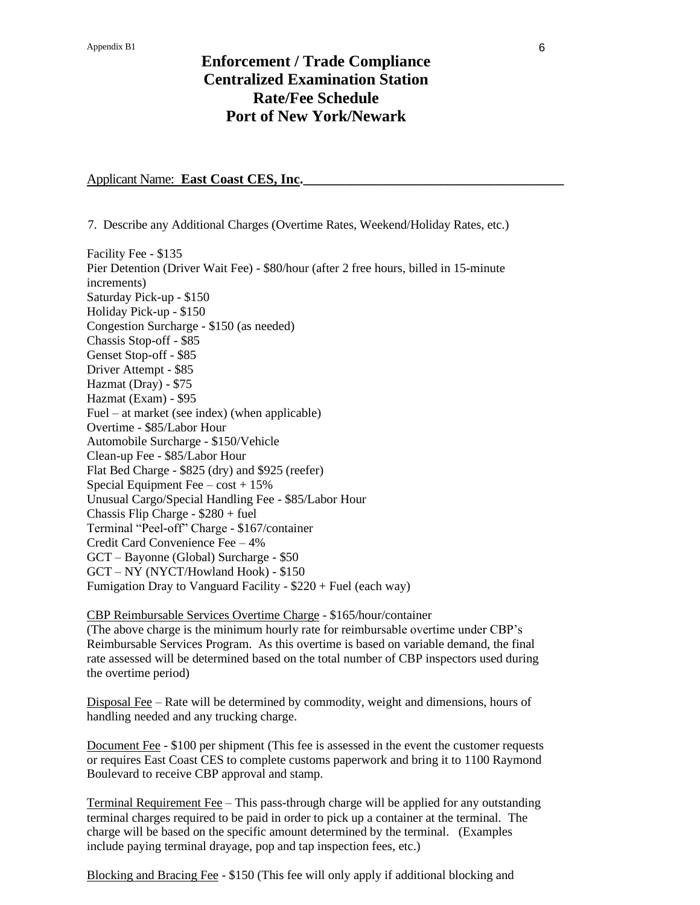#### Applicant Name: **East Coast CES, Inc.**

7. Describe any Additional Charges (Overtime Rates, Weekend/Holiday Rates, etc.)

Facility Fee - \$135 Pier Detention (Driver Wait Fee) - \$80/hour (after 2 free hours, billed in 15-minute increments) Saturday Pick-up - \$150 Holiday Pick-up - \$150 Congestion Surcharge - \$150 (as needed) Chassis Stop-off - \$85 Genset Stop-off - \$85 Driver Attempt - \$85 Hazmat (Dray) - \$75 Hazmat (Exam) - \$95 Fuel – at market (see index) (when applicable) Overtime - \$85/Labor Hour Automobile Surcharge - \$150/Vehicle Clean-up Fee - \$85/Labor Hour Flat Bed Charge - \$825 (dry) and \$925 (reefer) Special Equipment Fee –  $cost + 15\%$ Unusual Cargo/Special Handling Fee - \$85/Labor Hour Chassis Flip Charge - \$280 + fuel Terminal "Peel-off" Charge - \$167/container Credit Card Convenience Fee – 4% GCT – Bayonne (Global) Surcharge - \$50 GCT – NY (NYCT/Howland Hook) - \$150 Fumigation Dray to Vanguard Facility - \$220 + Fuel (each way)

CBP Reimbursable Services Overtime Charge - \$165/hour/container (The above charge is the minimum hourly rate for reimbursable overtime under CBP's Reimbursable Services Program. As this overtime is based on variable demand, the final rate assessed will be determined based on the total number of CBP inspectors used during the overtime period)

Disposal Fee – Rate will be determined by commodity, weight and dimensions, hours of handling needed and any trucking charge.

Document Fee - \$100 per shipment (This fee is assessed in the event the customer requests or requires East Coast CES to complete customs paperwork and bring it to 1100 Raymond Boulevard to receive CBP approval and stamp.

Terminal Requirement Fee – This pass-through charge will be applied for any outstanding terminal charges required to be paid in order to pick up a container at the terminal. The charge will be based on the specific amount determined by the terminal. (Examples include paying terminal drayage, pop and tap inspection fees, etc.)

Blocking and Bracing Fee - \$150 (This fee will only apply if additional blocking and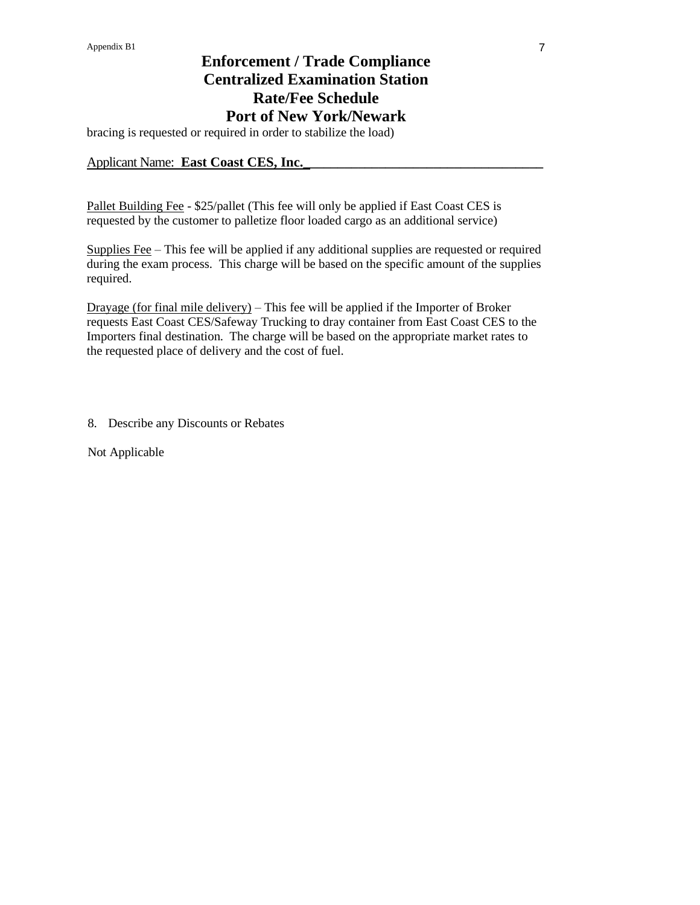bracing is requested or required in order to stabilize the load)

#### Applicant Name: **East Coast CES, Inc.**

Pallet Building Fee - \$25/pallet (This fee will only be applied if East Coast CES is requested by the customer to palletize floor loaded cargo as an additional service)

Supplies Fee – This fee will be applied if any additional supplies are requested or required during the exam process. This charge will be based on the specific amount of the supplies required.

Drayage (for final mile delivery) – This fee will be applied if the Importer of Broker requests East Coast CES/Safeway Trucking to dray container from East Coast CES to the Importers final destination. The charge will be based on the appropriate market rates to the requested place of delivery and the cost of fuel.

8. Describe any Discounts or Rebates

Not Applicable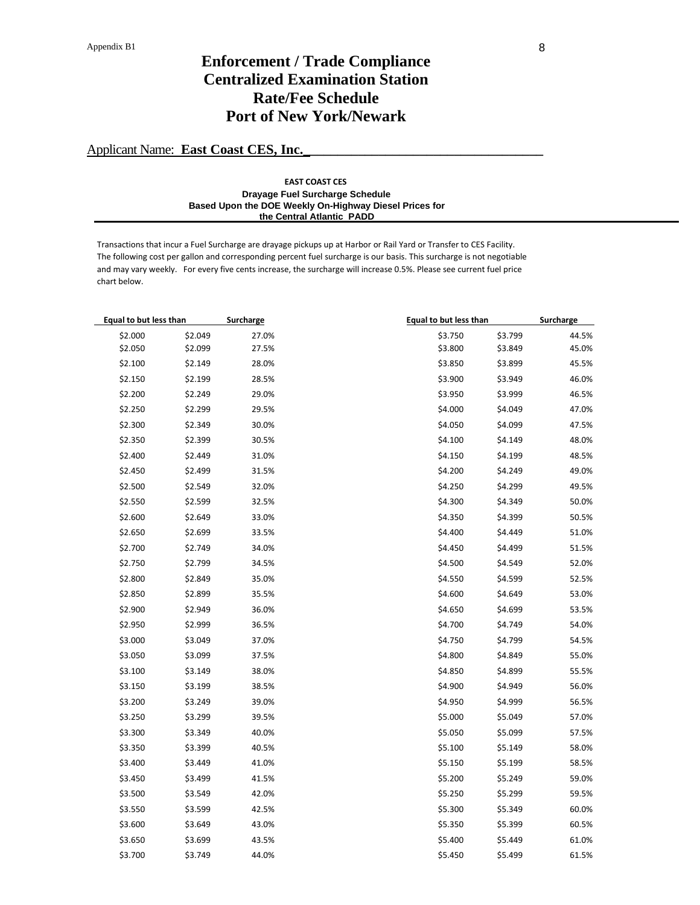### Applicant Name: **East Coast CES, Inc.**

#### **EAST COAST CES Drayage Fuel Surcharge Schedule Based Upon the DOE Weekly On-Highway Diesel Prices for the Central Atlantic PADD**

Transactions that incur a Fuel Surcharge are drayage pickups up at Harbor or Rail Yard or Transfer to CES Facility. The following cost per gallon and corresponding percent fuel surcharge is our basis. This surcharge is not negotiable and may vary weekly. For every five cents increase, the surcharge will increase 0.5%. Please see current fuel price chart below.

| Equal to but less than |         | Surcharge | <b>Equal to but less than</b> | Surcharge |
|------------------------|---------|-----------|-------------------------------|-----------|
| \$2.000                | \$2.049 | 27.0%     | \$3.750<br>\$3.799            | 44.5%     |
| \$2.050                | \$2.099 | 27.5%     | \$3.800<br>\$3.849            | 45.0%     |
| \$2.100                | \$2.149 | 28.0%     | \$3.850<br>\$3.899            | 45.5%     |
| \$2.150                | \$2.199 | 28.5%     | \$3.900<br>\$3.949            | 46.0%     |
| \$2.200                | \$2.249 | 29.0%     | \$3.950<br>\$3.999            | 46.5%     |
| \$2.250                | \$2.299 | 29.5%     | \$4.000<br>\$4.049            | 47.0%     |
| \$2.300                | \$2.349 | 30.0%     | \$4.050<br>\$4.099            | 47.5%     |
| \$2.350                | \$2.399 | 30.5%     | \$4.100<br>\$4.149            | 48.0%     |
| \$2.400                | \$2.449 | 31.0%     | \$4.150<br>\$4.199            | 48.5%     |
| \$2.450                | \$2.499 | 31.5%     | \$4.200<br>\$4.249            | 49.0%     |
| \$2.500                | \$2.549 | 32.0%     | \$4.250<br>\$4.299            | 49.5%     |
| \$2.550                | \$2.599 | 32.5%     | \$4.300<br>\$4.349            | 50.0%     |
| \$2.600                | \$2.649 | 33.0%     | \$4.350<br>\$4.399            | 50.5%     |
| \$2.650                | \$2.699 | 33.5%     | \$4.400<br>\$4.449            | 51.0%     |
| \$2.700                | \$2.749 | 34.0%     | \$4.450<br>\$4.499            | 51.5%     |
| \$2.750                | \$2.799 | 34.5%     | \$4.500<br>\$4.549            | 52.0%     |
| \$2.800                | \$2.849 | 35.0%     | \$4.550<br>\$4.599            | 52.5%     |
| \$2.850                | \$2.899 | 35.5%     | \$4.600<br>\$4.649            | 53.0%     |
| \$2.900                | \$2.949 | 36.0%     | \$4.650<br>\$4.699            | 53.5%     |
| \$2.950                | \$2.999 | 36.5%     | \$4.700<br>\$4.749            | 54.0%     |
| \$3.000                | \$3.049 | 37.0%     | \$4.750<br>\$4.799            | 54.5%     |
| \$3.050                | \$3.099 | 37.5%     | \$4.800<br>\$4.849            | 55.0%     |
| \$3.100                | \$3.149 | 38.0%     | \$4.850<br>\$4.899            | 55.5%     |
| \$3.150                | \$3.199 | 38.5%     | \$4.900<br>\$4.949            | 56.0%     |
| \$3.200                | \$3.249 | 39.0%     | \$4.950<br>\$4.999            | 56.5%     |
| \$3.250                | \$3.299 | 39.5%     | \$5.000<br>\$5.049            | 57.0%     |
| \$3.300                | \$3.349 | 40.0%     | \$5.050<br>\$5.099            | 57.5%     |
| \$3.350                | \$3.399 | 40.5%     | \$5.100<br>\$5.149            | 58.0%     |
| \$3.400                | \$3.449 | 41.0%     | \$5.150<br>\$5.199            | 58.5%     |
| \$3.450                | \$3.499 | 41.5%     | \$5.200<br>\$5.249            | 59.0%     |
| \$3.500                | \$3.549 | 42.0%     | \$5.250<br>\$5.299            | 59.5%     |
| \$3.550                | \$3.599 | 42.5%     | \$5.300<br>\$5.349            | 60.0%     |
| \$3.600                | \$3.649 | 43.0%     | \$5.350<br>\$5.399            | 60.5%     |
| \$3.650                | \$3.699 | 43.5%     | \$5.400<br>\$5.449            | 61.0%     |
| \$3.700                | \$3.749 | 44.0%     | \$5.450<br>\$5.499            | 61.5%     |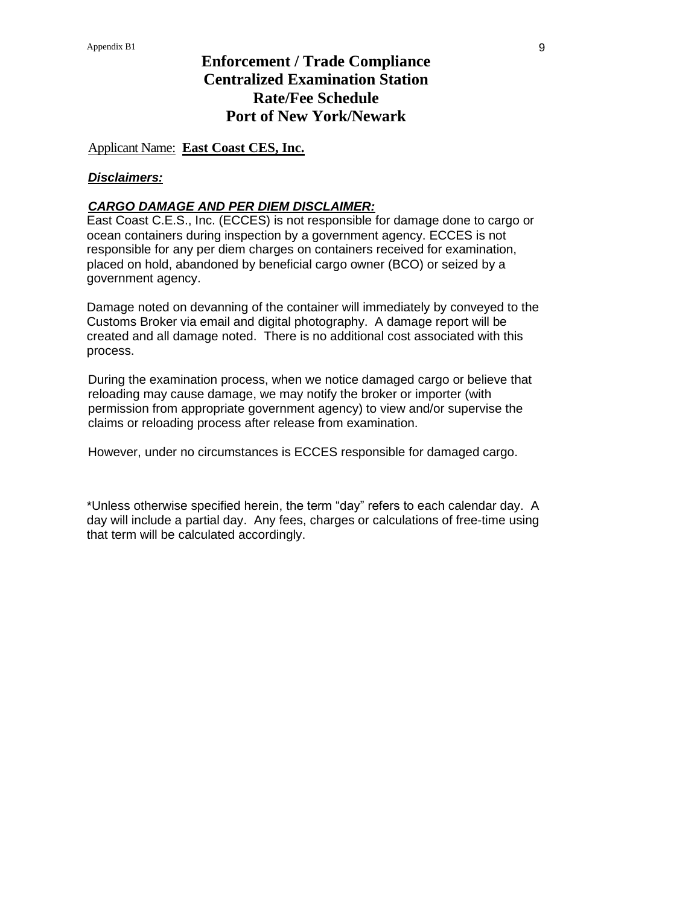### Applicant Name: **East Coast CES, Inc.**

#### *Disclaimers:*

#### *CARGO DAMAGE AND PER DIEM DISCLAIMER:*

East Coast C.E.S., Inc. (ECCES) is not responsible for damage done to cargo or ocean containers during inspection by a government agency. ECCES is not responsible for any per diem charges on containers received for examination, placed on hold, abandoned by beneficial cargo owner (BCO) or seized by a government agency.

Damage noted on devanning of the container will immediately by conveyed to the Customs Broker via email and digital photography. A damage report will be created and all damage noted. There is no additional cost associated with this process.

During the examination process, when we notice damaged cargo or believe that reloading may cause damage, we may notify the broker or importer (with permission from appropriate government agency) to view and/or supervise the claims or reloading process after release from examination.

However, under no circumstances is ECCES responsible for damaged cargo.

\*Unless otherwise specified herein, the term "day" refers to each calendar day. A day will include a partial day. Any fees, charges or calculations of free-time using that term will be calculated accordingly.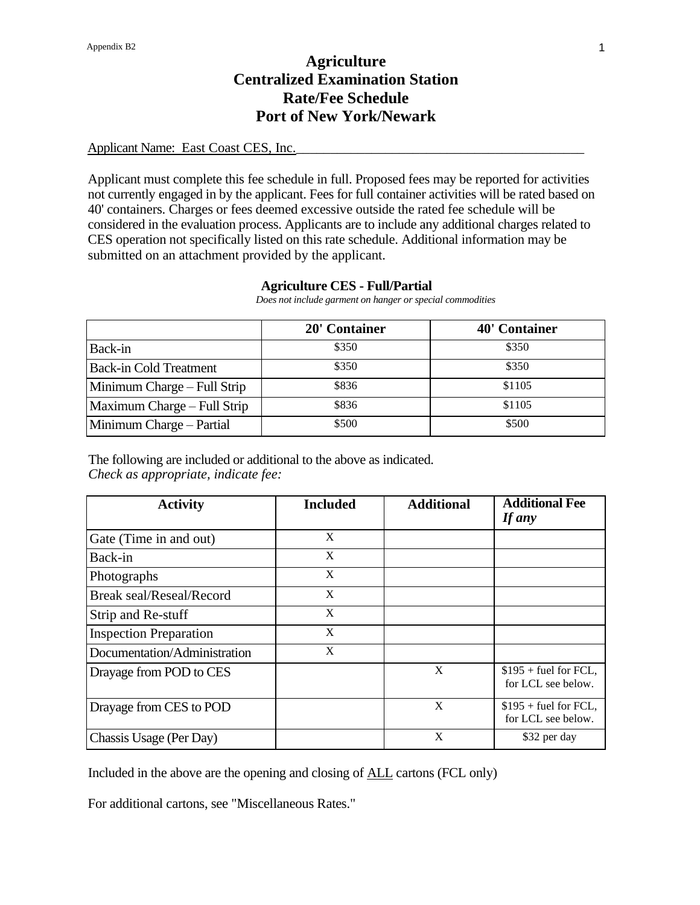### Applicant Name: East Coast CES, Inc.

Applicant must complete this fee schedule in full. Proposed fees may be reported for activities not currently engaged in by the applicant. Fees for full container activities will be rated based on 40' containers. Charges or fees deemed excessive outside the rated fee schedule will be considered in the evaluation process. Applicants are to include any additional charges related to CES operation not specifically listed on this rate schedule. Additional information may be submitted on an attachment provided by the applicant.

#### **Agriculture CES - Full/Partial**

 *Does not include garment on hanger or special commodities*

|                               | 20' Container | <b>40' Container</b> |
|-------------------------------|---------------|----------------------|
| Back-in                       | \$350         | \$350                |
| <b>Back-in Cold Treatment</b> | \$350         | \$350                |
| Minimum Charge – Full Strip   | \$836         | \$1105               |
| Maximum Charge – Full Strip   | \$836         | \$1105               |
| Minimum Charge – Partial      | \$500         | \$500                |

The following are included or additional to the above as indicated. *Check as appropriate, indicate fee:*

| <b>Activity</b>                 | <b>Included</b> | <b>Additional</b> | <b>Additional Fee</b><br>If any              |
|---------------------------------|-----------------|-------------------|----------------------------------------------|
| Gate (Time in and out)          | X               |                   |                                              |
| Back-in                         | X               |                   |                                              |
| Photographs                     | X               |                   |                                              |
| <b>Break seal/Reseal/Record</b> | X               |                   |                                              |
| Strip and Re-stuff              | X               |                   |                                              |
| <b>Inspection Preparation</b>   | X               |                   |                                              |
| Documentation/Administration    | X               |                   |                                              |
| Drayage from POD to CES         |                 | X                 | $$195 +$ fuel for FCL,<br>for LCL see below. |
| Drayage from CES to POD         |                 | X                 | $$195 + fuel for FCL,$<br>for LCL see below. |
| Chassis Usage (Per Day)         |                 | X                 | \$32 per day                                 |

Included in the above are the opening and closing of ALL cartons (FCL only)

For additional cartons, see "Miscellaneous Rates."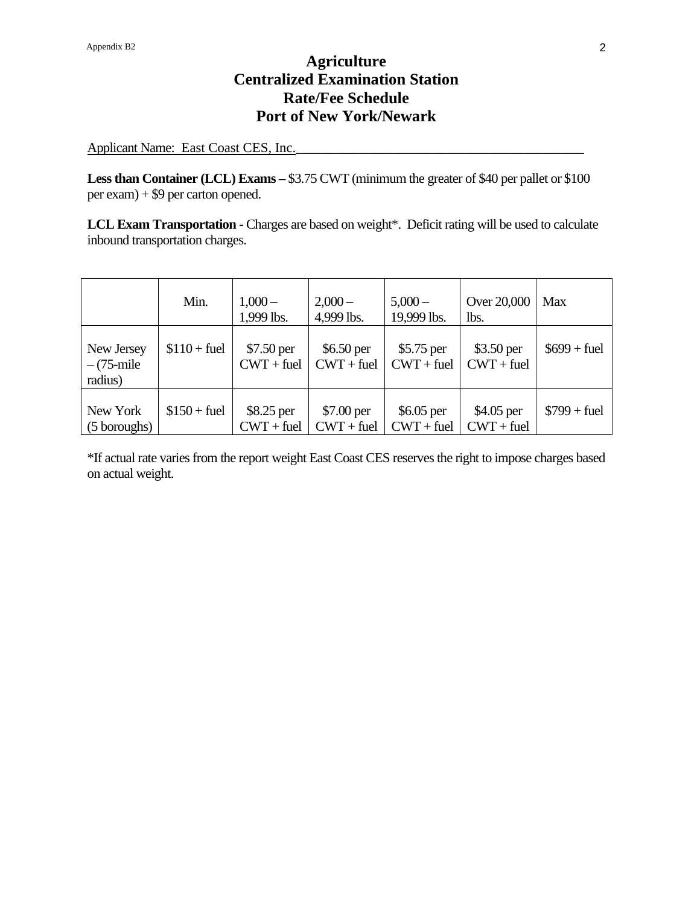Applicant Name: East Coast CES, Inc.

Less than Container (LCL) Exams – \$3.75 CWT (minimum the greater of \$40 per pallet or \$100 per exam) + \$9 per carton opened.

**LCL Exam Transportation -** Charges are based on weight\*. Deficit rating will be used to calculate inbound transportation charges.

|                                         | Min.          | $1,000-$<br>1,999 lbs.      | $2,000-$<br>4,999 lbs.      | $5,000 -$<br>19,999 lbs.    | Over 20,000<br>lbs.         | Max           |
|-----------------------------------------|---------------|-----------------------------|-----------------------------|-----------------------------|-----------------------------|---------------|
| New Jersey<br>$-(75 - mile)$<br>radius) | $$110 + fuel$ | \$7.50 per<br>$CWT + fuel$  | $$6.50$ per<br>$CWT + fuel$ | $$5.75$ per<br>$CWT + fuel$ | $$3.50$ per<br>$CWT + fuel$ | $$699 + fuel$ |
| New York<br>(5 boroughs)                | $$150 + fuel$ | $$8.25$ per<br>$CWT + fuel$ | \$7.00 per<br>$CWT + fuel$  | $$6.05$ per<br>$CWT + fuel$ | \$4.05 per<br>$CWT + fuel$  | $$799 + fuel$ |

\*If actual rate varies from the report weight East Coast CES reserves the right to impose charges based on actual weight.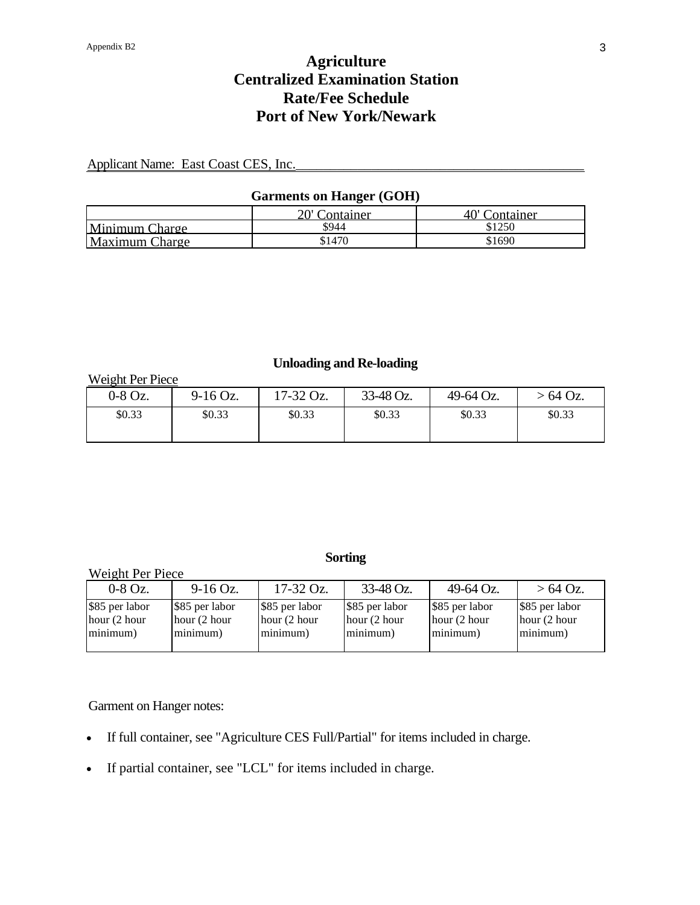Applicant Name: East Coast CES, Inc.

### **Garments on Hanger (GOH)**

|                | 20' Container | 40' Container |
|----------------|---------------|---------------|
| Minimum Charge | \$944         | \$1250        |
| Maximum Charge | \$1470        | \$1690        |

### **Unloading and Re-loading**

Weight Per Piece

| $0-8$ Oz. | $9-16$ Oz. | $17-32$ Oz. | 33-48 Oz. | 49-64 Oz. | $>64$ Oz. |
|-----------|------------|-------------|-----------|-----------|-----------|
| \$0.33    | \$0.33     | \$0.33      | \$0.33    | \$0.33    | \$0.33    |

### **Sorting**

| Weight Per Piece                           |                                            |                                               |                                            |                                             |                                              |  |  |
|--------------------------------------------|--------------------------------------------|-----------------------------------------------|--------------------------------------------|---------------------------------------------|----------------------------------------------|--|--|
| $0-8$ Oz.                                  | $9-16$ Oz.                                 | $17-32$ Oz.                                   | $33-48$ Oz.                                | 49-64 Oz.                                   | $>64$ Oz.                                    |  |  |
| \$85 per labor<br>hour (2 hour<br>minimum) | \$85 per labor<br>hour (2 hour<br>minimum) | \$85 per labor<br>hour $(2 hour)$<br>minimum) | \$85 per labor<br>hour (2 hour<br>minimum) | \$85 per labor<br>hour (2 hour)<br>minimum) | \$85 per labor<br>hour $(2$ hour<br>minimum) |  |  |

Garment on Hanger notes:

- If full container, see "Agriculture CES Full/Partial" for items included in charge.
- If partial container, see "LCL" for items included in charge.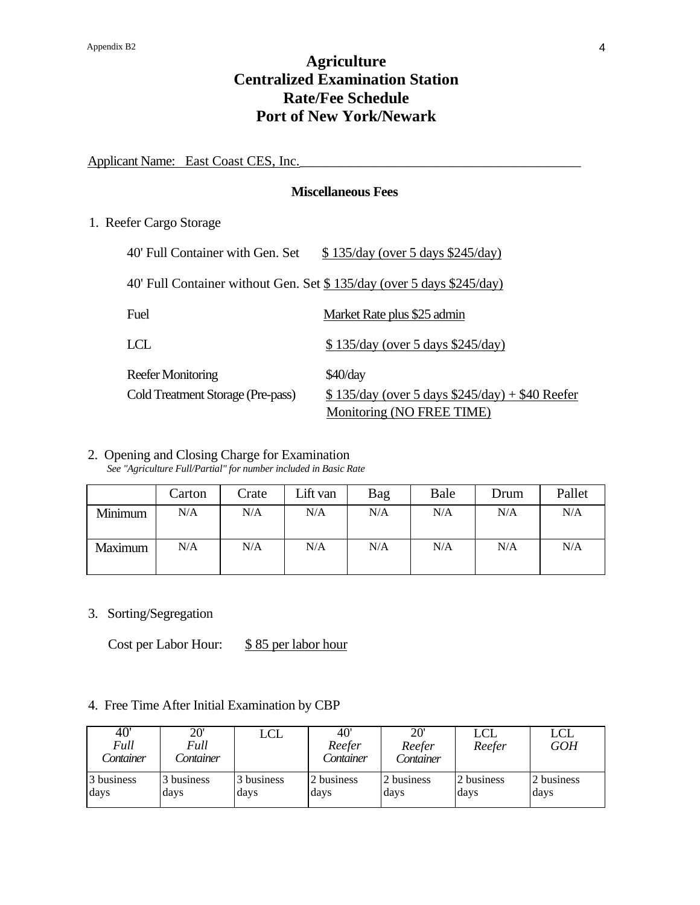Applicant Name: East Coast CES, Inc.

#### **Miscellaneous Fees**

1. Reefer Cargo Storage

| 40' Full Container with Gen. Set                                      | $$135/day$ (over 5 days $$245/day$ )               |
|-----------------------------------------------------------------------|----------------------------------------------------|
| 40' Full Container without Gen. Set \$135/day (over 5 days \$245/day) |                                                    |
| Fuel                                                                  | Market Rate plus \$25 admin                        |
| LCL                                                                   | $$135/day$ (over 5 days $$245/day$ )               |
| Reefer Monitoring                                                     | $$40$ /day                                         |
| Cold Treatment Storage (Pre-pass)                                     | $$135/day$ (over 5 days $$245/day$ ) + \$40 Reefer |
|                                                                       | Monitoring (NO FREE TIME)                          |

## 2. Opening and Closing Charge for Examination

*See "Agriculture Full/Partial" for number included in Basic Rate*

|         | Carton | Crate | Lift van | Bag | Bale | Drum | Pallet |
|---------|--------|-------|----------|-----|------|------|--------|
| Minimum | N/A    | N/A   | N/A      | N/A | N/A  | N/A  | N/A    |
| Maximum | N/A    | N/A   | N/A      | N/A | N/A  | N/A  | N/A    |

3. Sorting/Segregation

Cost per Labor Hour: \$85 per labor hour

### 4. Free Time After Initial Examination by CBP

| 40'<br>Full<br>Container | $20^{\circ}$<br>Full<br>Container | LCL        | 40'<br>Reefer<br>Container | 20'<br>Reefer<br>Container | LCL<br>Reefer | <b>LCL</b><br><b>GOH</b> |
|--------------------------|-----------------------------------|------------|----------------------------|----------------------------|---------------|--------------------------|
| 3 business               | 3 business                        | 3 business | 2 business                 | 2 business                 | 2 business    | 2 business               |
| days                     | days                              | days       | days                       | days                       | days          | days                     |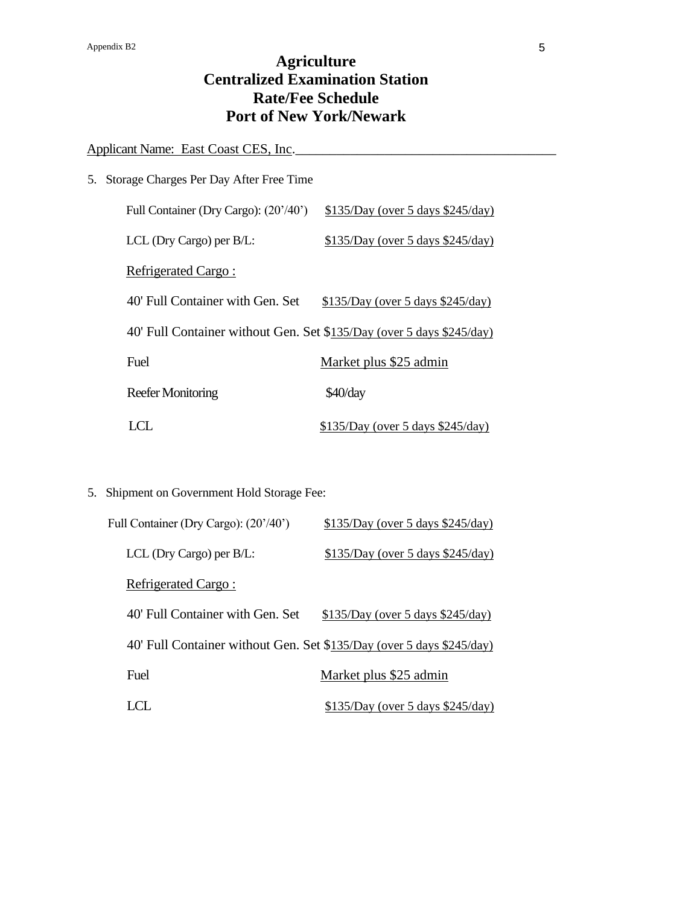Applicant Name: East Coast CES, Inc.

| 5. Storage Charges Per Day After Free Time                            |                                    |
|-----------------------------------------------------------------------|------------------------------------|
| Full Container (Dry Cargo): (20'/40')                                 | $$135/Day$ (over 5 days \$245/day) |
| LCL (Dry Cargo) per B/L:                                              | $$135/Day$ (over 5 days \$245/day) |
| Refrigerated Cargo:                                                   |                                    |
| 40' Full Container with Gen. Set                                      | $$135/Day$ (over 5 days \$245/day) |
| 40' Full Container without Gen. Set \$135/Day (over 5 days \$245/day) |                                    |
| Fuel                                                                  | Market plus \$25 admin             |
| Reefer Monitoring                                                     | $$40$ /day                         |
|                                                                       | $$135/Day$ (over 5 days \$245/day) |

5. Shipment on Government Hold Storage Fee:

| Full Container (Dry Cargo): (20'/40')                                 | $$135/Day$ (over 5 days $$245/day$ ) |
|-----------------------------------------------------------------------|--------------------------------------|
| LCL (Dry Cargo) per B/L:                                              | $$135/Day$ (over 5 days $$245/day$ ) |
| Refrigerated Cargo:                                                   |                                      |
| 40' Full Container with Gen. Set                                      | $$135/Day$ (over 5 days $$245/day$ ) |
| 40' Full Container without Gen. Set \$135/Day (over 5 days \$245/day) |                                      |
| Fuel                                                                  | Market plus \$25 admin               |
| LCL.                                                                  | $$135/Day$ (over 5 days $$245/day$ ) |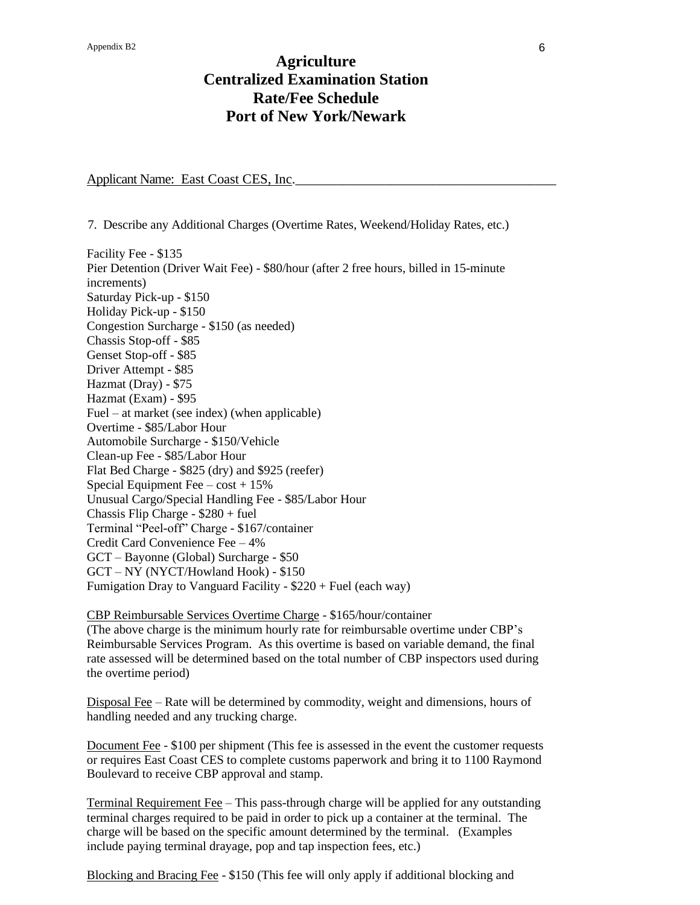Applicant Name: East Coast CES, Inc.

7. Describe any Additional Charges (Overtime Rates, Weekend/Holiday Rates, etc.)

Facility Fee - \$135 Pier Detention (Driver Wait Fee) - \$80/hour (after 2 free hours, billed in 15-minute increments) Saturday Pick-up - \$150 Holiday Pick-up - \$150 Congestion Surcharge - \$150 (as needed) Chassis Stop-off - \$85 Genset Stop-off - \$85 Driver Attempt - \$85 Hazmat (Dray) - \$75 Hazmat (Exam) - \$95 Fuel – at market (see index) (when applicable) Overtime - \$85/Labor Hour Automobile Surcharge - \$150/Vehicle Clean-up Fee - \$85/Labor Hour Flat Bed Charge - \$825 (dry) and \$925 (reefer) Special Equipment Fee –  $cost + 15\%$ Unusual Cargo/Special Handling Fee - \$85/Labor Hour Chassis Flip Charge - \$280 + fuel Terminal "Peel-off" Charge - \$167/container Credit Card Convenience Fee – 4% GCT – Bayonne (Global) Surcharge - \$50 GCT – NY (NYCT/Howland Hook) - \$150 Fumigation Dray to Vanguard Facility - \$220 + Fuel (each way)

CBP Reimbursable Services Overtime Charge - \$165/hour/container (The above charge is the minimum hourly rate for reimbursable overtime under CBP's Reimbursable Services Program. As this overtime is based on variable demand, the final rate assessed will be determined based on the total number of CBP inspectors used during the overtime period)

Disposal Fee – Rate will be determined by commodity, weight and dimensions, hours of handling needed and any trucking charge.

Document Fee - \$100 per shipment (This fee is assessed in the event the customer requests or requires East Coast CES to complete customs paperwork and bring it to 1100 Raymond Boulevard to receive CBP approval and stamp.

Terminal Requirement Fee – This pass-through charge will be applied for any outstanding terminal charges required to be paid in order to pick up a container at the terminal. The charge will be based on the specific amount determined by the terminal. (Examples include paying terminal drayage, pop and tap inspection fees, etc.)

Blocking and Bracing Fee - \$150 (This fee will only apply if additional blocking and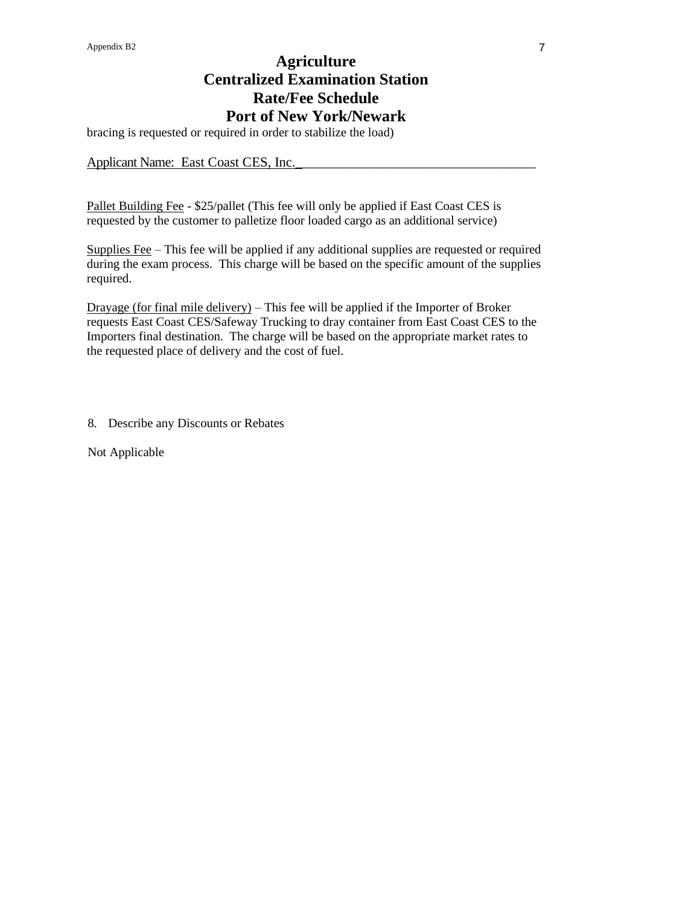bracing is requested or required in order to stabilize the load)

Applicant Name: East Coast CES, Inc.

Pallet Building Fee - \$25/pallet (This fee will only be applied if East Coast CES is requested by the customer to palletize floor loaded cargo as an additional service)

Supplies Fee – This fee will be applied if any additional supplies are requested or required during the exam process. This charge will be based on the specific amount of the supplies required.

Drayage (for final mile delivery) – This fee will be applied if the Importer of Broker requests East Coast CES/Safeway Trucking to dray container from East Coast CES to the Importers final destination. The charge will be based on the appropriate market rates to the requested place of delivery and the cost of fuel.

8. Describe any Discounts or Rebates

Not Applicable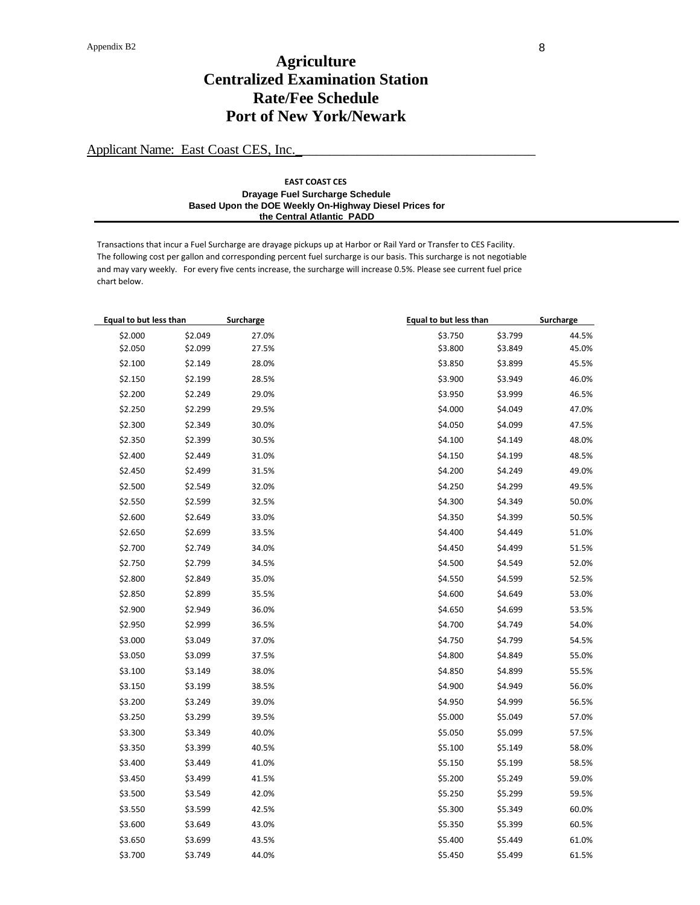Applicant Name: East Coast CES, Inc.

#### **EAST COAST CES Drayage Fuel Surcharge Schedule Based Upon the DOE Weekly On-Highway Diesel Prices for the Central Atlantic PADD**

Transactions that incur a Fuel Surcharge are drayage pickups up at Harbor or Rail Yard or Transfer to CES Facility. The following cost per gallon and corresponding percent fuel surcharge is our basis. This surcharge is not negotiable and may vary weekly. For every five cents increase, the surcharge will increase 0.5%. Please see current fuel price chart below.

| Equal to but less than |         | Surcharge | <b>Equal to but less than</b> | Surcharge |
|------------------------|---------|-----------|-------------------------------|-----------|
| \$2.000                | \$2.049 | 27.0%     | \$3.750<br>\$3.799            | 44.5%     |
| \$2.050                | \$2.099 | 27.5%     | \$3.800<br>\$3.849            | 45.0%     |
| \$2.100                | \$2.149 | 28.0%     | \$3.850<br>\$3.899            | 45.5%     |
| \$2.150                | \$2.199 | 28.5%     | \$3.900<br>\$3.949            | 46.0%     |
| \$2.200                | \$2.249 | 29.0%     | \$3.950<br>\$3.999            | 46.5%     |
| \$2.250                | \$2.299 | 29.5%     | \$4.000<br>\$4.049            | 47.0%     |
| \$2.300                | \$2.349 | 30.0%     | \$4.050<br>\$4.099            | 47.5%     |
| \$2.350                | \$2.399 | 30.5%     | \$4.100<br>\$4.149            | 48.0%     |
| \$2.400                | \$2.449 | 31.0%     | \$4.150<br>\$4.199            | 48.5%     |
| \$2.450                | \$2.499 | 31.5%     | \$4.200<br>\$4.249            | 49.0%     |
| \$2.500                | \$2.549 | 32.0%     | \$4.250<br>\$4.299            | 49.5%     |
| \$2.550                | \$2.599 | 32.5%     | \$4.300<br>\$4.349            | 50.0%     |
| \$2.600                | \$2.649 | 33.0%     | \$4.350<br>\$4.399            | 50.5%     |
| \$2.650                | \$2.699 | 33.5%     | \$4.400<br>\$4.449            | 51.0%     |
| \$2.700                | \$2.749 | 34.0%     | \$4.450<br>\$4.499            | 51.5%     |
| \$2.750                | \$2.799 | 34.5%     | \$4.500<br>\$4.549            | 52.0%     |
| \$2.800                | \$2.849 | 35.0%     | \$4.550<br>\$4.599            | 52.5%     |
| \$2.850                | \$2.899 | 35.5%     | \$4.600<br>\$4.649            | 53.0%     |
| \$2.900                | \$2.949 | 36.0%     | \$4.650<br>\$4.699            | 53.5%     |
| \$2.950                | \$2.999 | 36.5%     | \$4.700<br>\$4.749            | 54.0%     |
| \$3.000                | \$3.049 | 37.0%     | \$4.750<br>\$4.799            | 54.5%     |
| \$3.050                | \$3.099 | 37.5%     | \$4.800<br>\$4.849            | 55.0%     |
| \$3.100                | \$3.149 | 38.0%     | \$4.850<br>\$4.899            | 55.5%     |
| \$3.150                | \$3.199 | 38.5%     | \$4.900<br>\$4.949            | 56.0%     |
| \$3.200                | \$3.249 | 39.0%     | \$4.950<br>\$4.999            | 56.5%     |
| \$3.250                | \$3.299 | 39.5%     | \$5.000<br>\$5.049            | 57.0%     |
| \$3.300                | \$3.349 | 40.0%     | \$5.050<br>\$5.099            | 57.5%     |
| \$3.350                | \$3.399 | 40.5%     | \$5.100<br>\$5.149            | 58.0%     |
| \$3.400                | \$3.449 | 41.0%     | \$5.150<br>\$5.199            | 58.5%     |
| \$3.450                | \$3.499 | 41.5%     | \$5.200<br>\$5.249            | 59.0%     |
| \$3.500                | \$3.549 | 42.0%     | \$5.250<br>\$5.299            | 59.5%     |
| \$3.550                | \$3.599 | 42.5%     | \$5.300<br>\$5.349            | 60.0%     |
| \$3.600                | \$3.649 | 43.0%     | \$5.350<br>\$5.399            | 60.5%     |
| \$3.650                | \$3.699 | 43.5%     | \$5.400<br>\$5.449            | 61.0%     |
| \$3.700                | \$3.749 | 44.0%     | \$5.450<br>\$5.499            | 61.5%     |